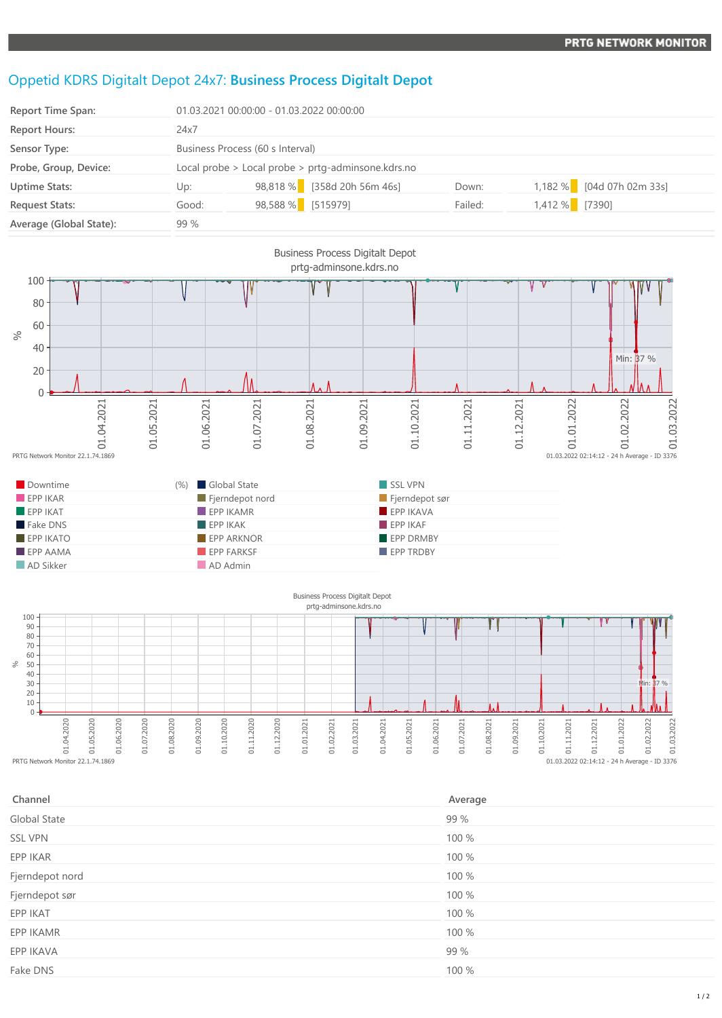## Oppetid KDRS Digitalt Depot 24x7: **Business Process Digitalt Depot**

| Report Time Span:       | 01.03.2021 00:00:00 - 01.03.2022 00:00:00          |                   |                             |         |                |                           |
|-------------------------|----------------------------------------------------|-------------------|-----------------------------|---------|----------------|---------------------------|
| <b>Report Hours:</b>    | 24x7                                               |                   |                             |         |                |                           |
| Sensor Type:            | Business Process (60 s Interval)                   |                   |                             |         |                |                           |
| Probe, Group, Device:   | Local probe > Local probe > prtg-adminsone.kdrs.no |                   |                             |         |                |                           |
| <b>Uptime Stats:</b>    | Up:                                                |                   | 98,818 % [358d 20h 56m 46s] | Down:   |                | 1,182 % [04d 07h 02m 33s] |
| <b>Request Stats:</b>   | Good:                                              | 98,588 % [515979] |                             | Failed: | 1,412 % [7390] |                           |
| Average (Global State): | 99 %                                               |                   |                             |         |                |                           |



| Channel         | Average |
|-----------------|---------|
| Global State    | 99 %    |
| <b>SSL VPN</b>  | 100 %   |
| EPP IKAR        | 100 %   |
| Fjerndepot nord | 100 %   |
| Fjerndepot sør  | 100 %   |
| EPP IKAT        | 100 %   |
| EPP IKAMR       | 100 %   |
| EPP IKAVA       | 99 %    |
| Fake DNS        | 100 %   |

 $0.03.2022$  02:14:12 - 24 h Average - ID 3376